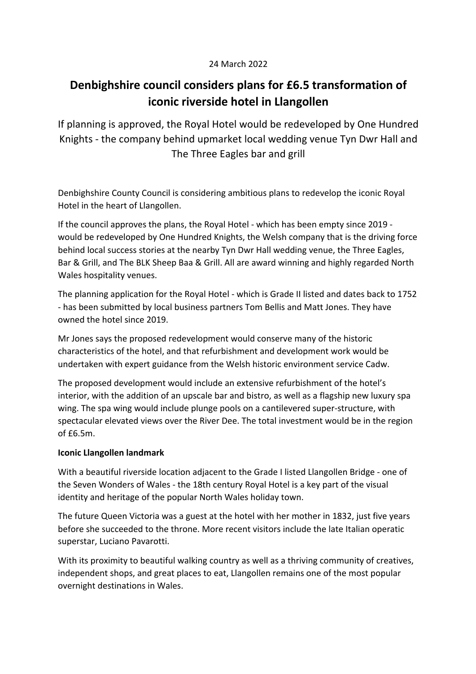## 24 March 2022

## **Denbighshire council considers plans for £6.5 transformation of iconic riverside hotel in Llangollen**

If planning is approved, the Royal Hotel would be redeveloped by One Hundred Knights - the company behind upmarket local wedding venue Tyn Dwr Hall and The Three Eagles bar and grill

Denbighshire County Council is considering ambitious plans to redevelop the iconic Royal Hotel in the heart of Llangollen.

If the council approves the plans, the Royal Hotel - which has been empty since 2019 would be redeveloped by One Hundred Knights, the Welsh company that is the driving force behind local success stories at the nearby Tyn Dwr Hall wedding venue, the Three Eagles, Bar & Grill, and The BLK Sheep Baa & Grill. All are award winning and highly regarded North Wales hospitality venues.

The planning application for the Royal Hotel - which is Grade II listed and dates back to 1752 - has been submitted by local business partners Tom Bellis and Matt Jones. They have owned the hotel since 2019.

Mr Jones says the proposed redevelopment would conserve many of the historic characteristics of the hotel, and that refurbishment and development work would be undertaken with expert guidance from the Welsh historic environment service Cadw.

The proposed development would include an extensive refurbishment of the hotel's interior, with the addition of an upscale bar and bistro, as well as a flagship new luxury spa wing. The spa wing would include plunge pools on a cantilevered super-structure, with spectacular elevated views over the River Dee. The total investment would be in the region of £6.5m.

## **Iconic Llangollen landmark**

With a beautiful riverside location adjacent to the Grade I listed Llangollen Bridge - one of the Seven Wonders of Wales - the 18th century Royal Hotel is a key part of the visual identity and heritage of the popular North Wales holiday town.

The future Queen Victoria was a guest at the hotel with her mother in 1832, just five years before she succeeded to the throne. More recent visitors include the late Italian operatic superstar, Luciano Pavarotti.

With its proximity to beautiful walking country as well as a thriving community of creatives, independent shops, and great places to eat, Llangollen remains one of the most popular overnight destinations in Wales.